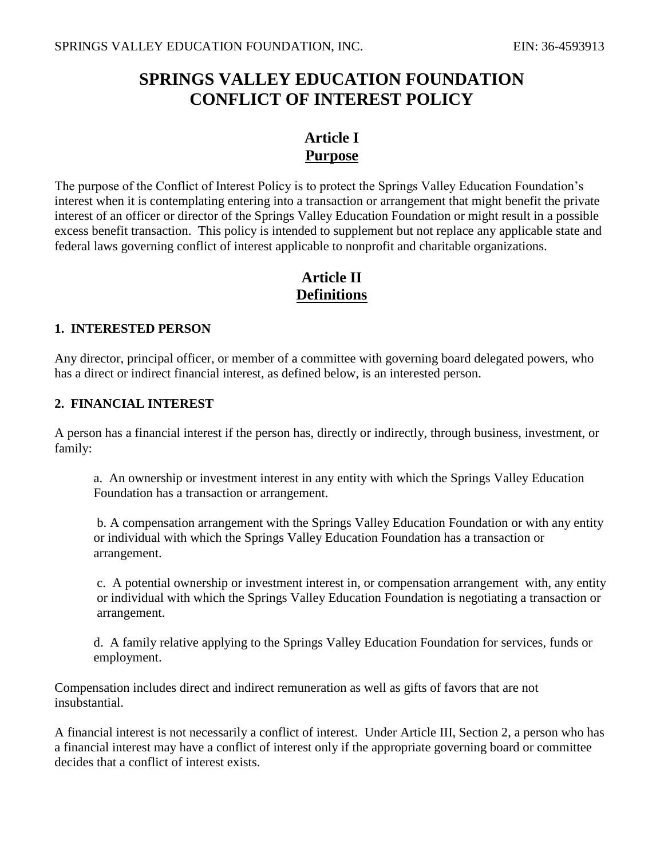# **SPRINGS VALLEY EDUCATION FOUNDATION CONFLICT OF INTEREST POLICY**

#### **Article I Purpose**

The purpose of the Conflict of Interest Policy is to protect the Springs Valley Education Foundation's interest when it is contemplating entering into a transaction or arrangement that might benefit the private interest of an officer or director of the Springs Valley Education Foundation or might result in a possible excess benefit transaction. This policy is intended to supplement but not replace any applicable state and federal laws governing conflict of interest applicable to nonprofit and charitable organizations.

### **Article II Definitions**

#### **1. INTERESTED PERSON**

Any director, principal officer, or member of a committee with governing board delegated powers, who has a direct or indirect financial interest, as defined below, is an interested person.

#### **2. FINANCIAL INTEREST**

A person has a financial interest if the person has, directly or indirectly, through business, investment, or family:

a. An ownership or investment interest in any entity with which the Springs Valley Education Foundation has a transaction or arrangement.

b. A compensation arrangement with the Springs Valley Education Foundation or with any entity or individual with which the Springs Valley Education Foundation has a transaction or arrangement.

c. A potential ownership or investment interest in, or compensation arrangement with, any entity or individual with which the Springs Valley Education Foundation is negotiating a transaction or arrangement.

d. A family relative applying to the Springs Valley Education Foundation for services, funds or employment.

Compensation includes direct and indirect remuneration as well as gifts of favors that are not insubstantial.

A financial interest is not necessarily a conflict of interest. Under Article III, Section 2, a person who has a financial interest may have a conflict of interest only if the appropriate governing board or committee decides that a conflict of interest exists.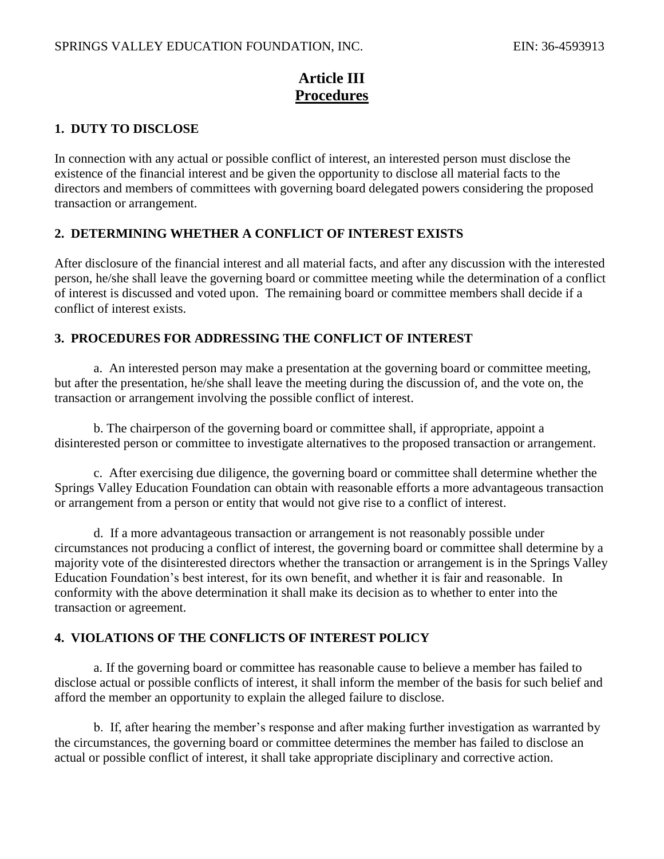### **Article III Procedures**

#### **1. DUTY TO DISCLOSE**

In connection with any actual or possible conflict of interest, an interested person must disclose the existence of the financial interest and be given the opportunity to disclose all material facts to the directors and members of committees with governing board delegated powers considering the proposed transaction or arrangement.

#### **2. DETERMINING WHETHER A CONFLICT OF INTEREST EXISTS**

After disclosure of the financial interest and all material facts, and after any discussion with the interested person, he/she shall leave the governing board or committee meeting while the determination of a conflict of interest is discussed and voted upon. The remaining board or committee members shall decide if a conflict of interest exists.

#### **3. PROCEDURES FOR ADDRESSING THE CONFLICT OF INTEREST**

a. An interested person may make a presentation at the governing board or committee meeting, but after the presentation, he/she shall leave the meeting during the discussion of, and the vote on, the transaction or arrangement involving the possible conflict of interest.

b. The chairperson of the governing board or committee shall, if appropriate, appoint a disinterested person or committee to investigate alternatives to the proposed transaction or arrangement.

c. After exercising due diligence, the governing board or committee shall determine whether the Springs Valley Education Foundation can obtain with reasonable efforts a more advantageous transaction or arrangement from a person or entity that would not give rise to a conflict of interest.

d. If a more advantageous transaction or arrangement is not reasonably possible under circumstances not producing a conflict of interest, the governing board or committee shall determine by a majority vote of the disinterested directors whether the transaction or arrangement is in the Springs Valley Education Foundation's best interest, for its own benefit, and whether it is fair and reasonable. In conformity with the above determination it shall make its decision as to whether to enter into the transaction or agreement.

#### **4. VIOLATIONS OF THE CONFLICTS OF INTEREST POLICY**

a. If the governing board or committee has reasonable cause to believe a member has failed to disclose actual or possible conflicts of interest, it shall inform the member of the basis for such belief and afford the member an opportunity to explain the alleged failure to disclose.

b. If, after hearing the member's response and after making further investigation as warranted by the circumstances, the governing board or committee determines the member has failed to disclose an actual or possible conflict of interest, it shall take appropriate disciplinary and corrective action.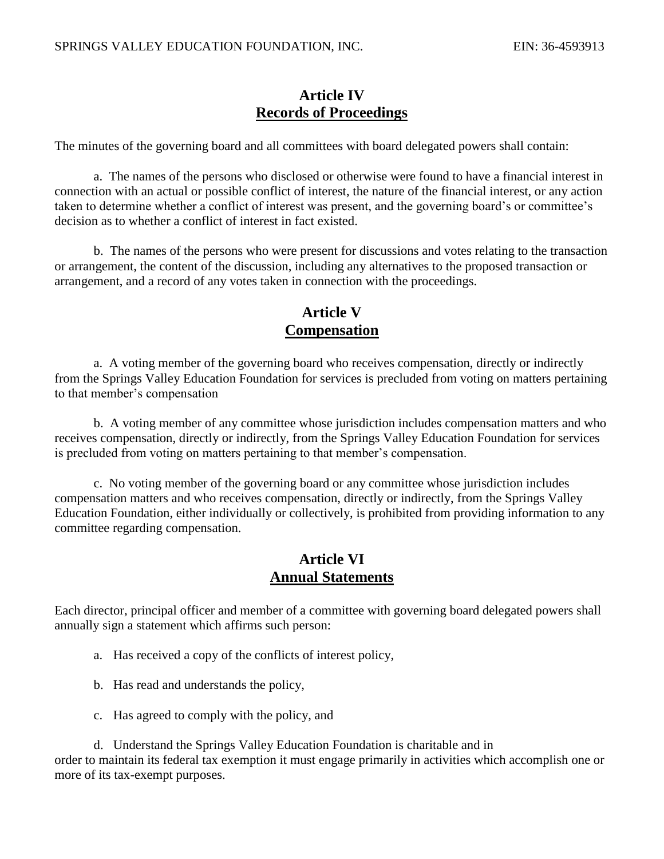### **Article IV Records of Proceedings**

The minutes of the governing board and all committees with board delegated powers shall contain:

a. The names of the persons who disclosed or otherwise were found to have a financial interest in connection with an actual or possible conflict of interest, the nature of the financial interest, or any action taken to determine whether a conflict of interest was present, and the governing board's or committee's decision as to whether a conflict of interest in fact existed.

b. The names of the persons who were present for discussions and votes relating to the transaction or arrangement, the content of the discussion, including any alternatives to the proposed transaction or arrangement, and a record of any votes taken in connection with the proceedings.

### **Article V Compensation**

a. A voting member of the governing board who receives compensation, directly or indirectly from the Springs Valley Education Foundation for services is precluded from voting on matters pertaining to that member's compensation

b. A voting member of any committee whose jurisdiction includes compensation matters and who receives compensation, directly or indirectly, from the Springs Valley Education Foundation for services is precluded from voting on matters pertaining to that member's compensation.

c. No voting member of the governing board or any committee whose jurisdiction includes compensation matters and who receives compensation, directly or indirectly, from the Springs Valley Education Foundation, either individually or collectively, is prohibited from providing information to any committee regarding compensation.

### **Article VI Annual Statements**

Each director, principal officer and member of a committee with governing board delegated powers shall annually sign a statement which affirms such person:

- a. Has received a copy of the conflicts of interest policy,
- b. Has read and understands the policy,
- c. Has agreed to comply with the policy, and

d. Understand the Springs Valley Education Foundation is charitable and in order to maintain its federal tax exemption it must engage primarily in activities which accomplish one or more of its tax-exempt purposes.